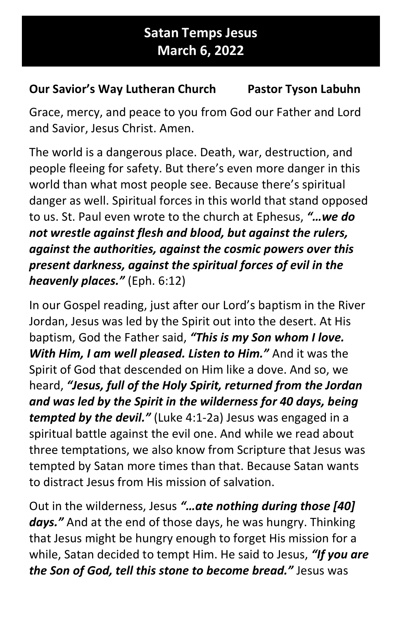## Satan Temps Jesus March 6, 2022

## Our Savior's Way Lutheran Church Pastor Tyson Labuhn

Grace, mercy, and peace to you from God our Father and Lord and Savior, Jesus Christ. Amen.

The world is a dangerous place. Death, war, destruction, and people fleeing for safety. But there's even more danger in this world than what most people see. Because there's spiritual danger as well. Spiritual forces in this world that stand opposed to us. St. Paul even wrote to the church at Ephesus, "... we do not wrestle against flesh and blood, but against the rulers, against the authorities, against the cosmic powers over this present darkness, against the spiritual forces of evil in the heavenly places." (Eph. 6:12)

In our Gospel reading, just after our Lord's baptism in the River Jordan, Jesus was led by the Spirit out into the desert. At His baptism, God the Father said, "This is my Son whom I love. With Him, I am well pleased. Listen to Him." And it was the Spirit of God that descended on Him like a dove. And so, we heard, "Jesus, full of the Holy Spirit, returned from the Jordan and was led by the Spirit in the wilderness for 40 days, being tempted by the devil." (Luke 4:1-2a) Jesus was engaged in a spiritual battle against the evil one. And while we read about three temptations, we also know from Scripture that Jesus was tempted by Satan more times than that. Because Satan wants to distract Jesus from His mission of salvation.

Out in the wilderness, Jesus "…ate nothing during those [40] days." And at the end of those days, he was hungry. Thinking that Jesus might be hungry enough to forget His mission for a while, Satan decided to tempt Him. He said to Jesus, "If you are the Son of God, tell this stone to become bread." Jesus was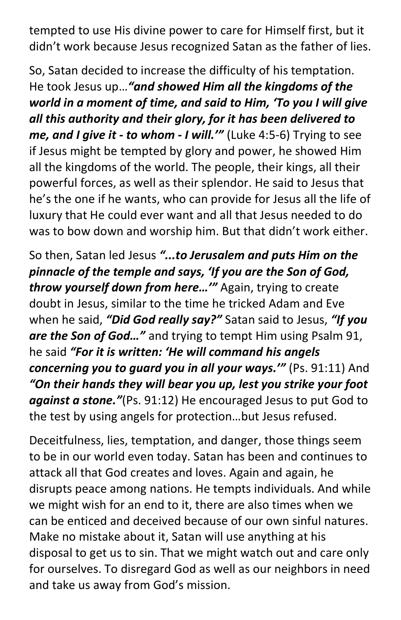tempted to use His divine power to care for Himself first, but it didn't work because Jesus recognized Satan as the father of lies.

So, Satan decided to increase the difficulty of his temptation. He took Jesus up... "and showed Him all the kingdoms of the world in a moment of time, and said to Him, 'To you I will give all this authority and their glory, for it has been delivered to me, and I give it - to whom - I will." (Luke 4:5-6) Trying to see if Jesus might be tempted by glory and power, he showed Him all the kingdoms of the world. The people, their kings, all their powerful forces, as well as their splendor. He said to Jesus that he's the one if he wants, who can provide for Jesus all the life of luxury that He could ever want and all that Jesus needed to do was to bow down and worship him. But that didn't work either.

So then, Satan led Jesus "...to Jerusalem and puts Him on the pinnacle of the temple and says, 'If you are the Son of God, throw yourself down from here..." Again, trying to create doubt in Jesus, similar to the time he tricked Adam and Eve when he said, "Did God really say?" Satan said to Jesus, "If you are the Son of God..." and trying to tempt Him using Psalm 91, he said "For it is written: 'He will command his angels concerning you to quard you in all your ways." (Ps. 91:11) And "On their hands they will bear you up, lest you strike your foot against a stone."(Ps. 91:12) He encouraged Jesus to put God to the test by using angels for protection…but Jesus refused.

Deceitfulness, lies, temptation, and danger, those things seem to be in our world even today. Satan has been and continues to attack all that God creates and loves. Again and again, he disrupts peace among nations. He tempts individuals. And while we might wish for an end to it, there are also times when we can be enticed and deceived because of our own sinful natures. Make no mistake about it, Satan will use anything at his disposal to get us to sin. That we might watch out and care only for ourselves. To disregard God as well as our neighbors in need and take us away from God's mission.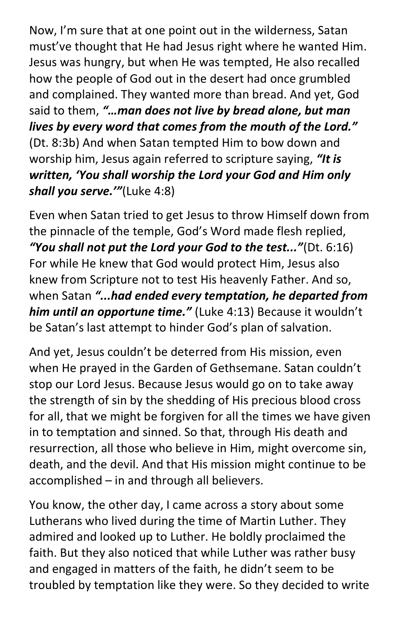Now, I'm sure that at one point out in the wilderness, Satan must've thought that He had Jesus right where he wanted Him. Jesus was hungry, but when He was tempted, He also recalled how the people of God out in the desert had once grumbled and complained. They wanted more than bread. And yet, God said to them, "...man does not live by bread alone, but man lives by every word that comes from the mouth of the Lord." (Dt. 8:3b) And when Satan tempted Him to bow down and worship him, Jesus again referred to scripture saying, "It is written, 'You shall worship the Lord your God and Him only shall you serve." (Luke 4:8)

Even when Satan tried to get Jesus to throw Himself down from the pinnacle of the temple, God's Word made flesh replied, "You shall not put the Lord your God to the test..."(Dt. 6:16) For while He knew that God would protect Him, Jesus also knew from Scripture not to test His heavenly Father. And so, when Satan "...had ended every temptation, he departed from him until an opportune time." (Luke 4:13) Because it wouldn't be Satan's last attempt to hinder God's plan of salvation.

And yet, Jesus couldn't be deterred from His mission, even when He prayed in the Garden of Gethsemane. Satan couldn't stop our Lord Jesus. Because Jesus would go on to take away the strength of sin by the shedding of His precious blood cross for all, that we might be forgiven for all the times we have given in to temptation and sinned. So that, through His death and resurrection, all those who believe in Him, might overcome sin, death, and the devil. And that His mission might continue to be accomplished – in and through all believers.

You know, the other day, I came across a story about some Lutherans who lived during the time of Martin Luther. They admired and looked up to Luther. He boldly proclaimed the faith. But they also noticed that while Luther was rather busy and engaged in matters of the faith, he didn't seem to be troubled by temptation like they were. So they decided to write